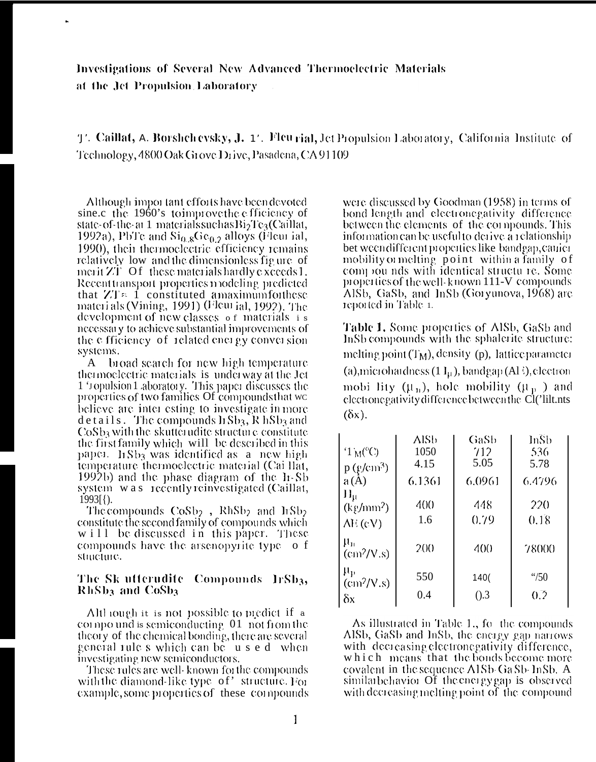Investigations of Several New Advanced Thermoelectric Materials at the Jet Propulsion Laboratory

T. Caillat, A. Borshchevsky, J. 17. Fleu rial, Jet Propulsion Laboratory, California Institute of Technology, 4800 Oak Grove Drive, Pasadena, CA 91109

Although important efforts have been devoted sine.c the 1960's toimprove the efficiency of state-of-the-at 1 materials such as  $\rm{Bi_2Te_3(Ca)I}$ lat, 1992a), PbTe and  $\mathrm{Si}_{0.8}\mathrm{Ge}_{0.2}$  alloys (Fleurial, 1990), their thermoelectric efficiency remains relatively low and the dimensionless figure of merit ZT Of these materials hardly exceeds 1. Recent transport properties modeling predicted that  $ZT \approx 1$  constituted amaximumforthese materials (Vining, 1991) (Fleur jal, 1992). The development of new classes of materials is necessary to achieve substantial improvements of the efficiency of related energy conversion systems.

broad search for new high temperature  $\mathbf{A}$ thermoelectric materials is underway at the let 1 'ropulsion 1 aboratory. This paper discusses the properties of two families Of compounds that we believe are inter esting to investigate in more details. The compounds lisb<sub>3</sub>, R hSb<sub>3</sub> and  $CoSb<sub>3</sub>$  with the skutterudite structure constitute the first family which will be described in this paper. ItSb<sub>3</sub> was identified as a new high temperature thermoelectric material (Cai Ilat, 1992b) and the phase diagram of the li-Sb system was recently reinvestigated (Caillat,  $1993$ [ $\{$ ).

The compounds  $CoSb<sub>2</sub>$ , RhSb<sub>2</sub> and ItSb<sub>2</sub> constitute the second family of compounds which will be discussed in this paper. These compounds have the arsenopyrite type of structure.

# The Sk utterudite Compounds IrSb3, RhSb<sub>3</sub> and CoSb<sub>3</sub>

Although it is not possible to predict if a compound is semiconducting 01 not from the theory of the chemical bonding, there are several general rule s which can be used when investigating new semiconductors.

These rules are well-known for the compounds with the diamond-like type of' structure. For example, some properties of these compounds

were discussed by Goodman (1958) in terms of bond length and electronegativity difference between the elements of the compounds. This information can be useful to derive a relationship bet ween different properties like bandgap, canier mobility or melting point within a family of<br>compounds with identical structure. Some properties of the well-known 111-V compounds Alsb, GaSb, and InSb (Goryunova, 1968) are reported in Table 1.

Table 1. Some properties of AlSb, GaSb and InSb compounds with the sphalerite structure: melting point  $(T_M)$ , density (p), lattice parameter (a), microhardness  $(1 I_{\mu})$ , bandgap  $(A1)$ , electron mobi lity  $(\mu_n)$ , hole mobility  $(\mu_p)$  and electronegativity difference between the Cl('lilt.nts  $(\delta x)$ .

| $1 M^{\circ}$ C)                            | AlSb<br>1050    | GaSb<br>712 | InSb<br>536      |
|---------------------------------------------|-----------------|-------------|------------------|
| $p$ (g/cm <sup>3</sup> )                    | 4.15            | 5.05        | 5.78             |
| a(A)                                        | 6.1361          | 6.0961      | 6.4796           |
| $H_{\mu}$<br>$(kg/mm^2)$                    | 400             | 448         | 220              |
| $\overline{\text{AE}}(cV)$                  | 1.6             | 0.79        | 0.18             |
| $\mu_{\rm n}$<br>$\text{cm}^2/\text{V}$ .s) | 20 <sub>0</sub> | 400         | 78000            |
| $\mu_{\rm p}$<br>$\text{cm}^2/\text{V}$ .s) | 550             | 140(        | $\frac{4}{50}$   |
| $\delta x$                                  | 0.4             | $($ .3      | $0.\overline{2}$ |

As illustrated in Table 1, fo the compounds Alsb, Gasb and Insb, the energy gap narrows with decreasing electronegativity difference, which means that the bonds become more covalent in the sequence A1Sb-GaSb-InSb, A similarbehavior Of the energy gap is observed with decreasing melting point of the compound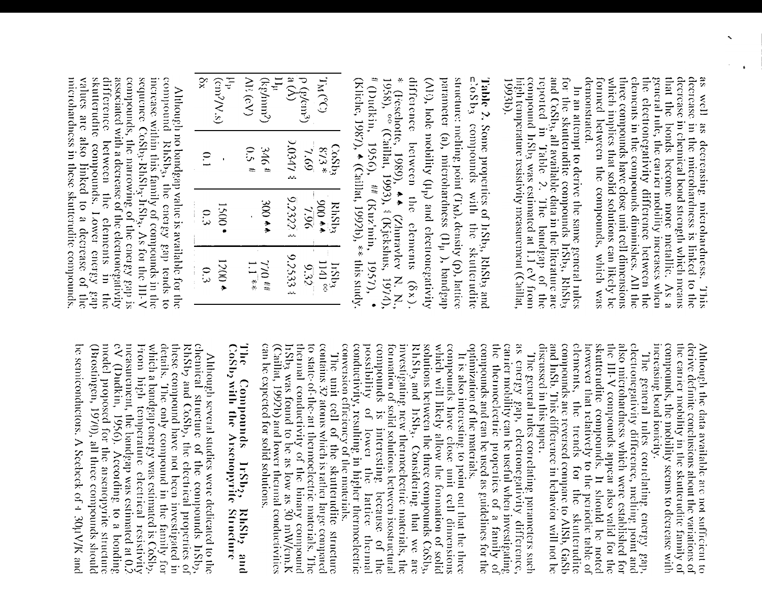demonstrated. elements in the compounds diminishes. All the the electronegativity difference between the that the bonds become more metallic. As a decrease in chemical bond strength which means as well as decreasing microhardness. This<br>decrease in the microhardness is linked to the formed between the compounds, which was which implies that solid solutions can likely be three compounds have close unit cell dimensions general rule, the carrier mobility increases when

 $\ddot{\phantom{0}}$ 

for the skutterudite compounds lists, RhSb<sub>3</sub> and CoSb<sub>3</sub>, all available data in the literature are reported in Table 2. The bandgap of the compound Irsb<sub>3</sub> was estimated at 1.1 eV from high temperature resistivity measurement (Caillat, 1993b). In an attempt to derive the same general rules

# (Dudkin, 1956), ## (Kuz'min, difference between the elements ( $\delta x$ ).<br>\* (Teschotte, 1989),  $\star$  (Zhuravlev N. N., 1988), <sup>60</sup> (Caillat, 1993), † (Kjekshus, 1974), parameter (a), microhardness (11<sub>µ</sub> ), bandgap **Table 2.** Some properties of Irsb<sub>3</sub>, RhSb<sub>3</sub> and  $\mathbf{c}$ : 68 b<sub>3</sub> compounds with the skutterudite  $(N<sub>i</sub>)$ , hole mobility ( $\mu<sub>p</sub>$ ) and electronegativity structure: melting point (TM), density (p), lattice (Kliche, 1987),  $\bullet$  (Caillat, 1992b), \*\* this study 1957),

| ž.              | $\begin{array}{c} \mu_p \\ \text{(cm)}^2/V.s \end{array}$ | $\overline{\text{M}}$ (cV) | $\frac{1}{\sqrt{2}}$<br>$(Xg/mn^2)$ | $\begin{pmatrix} 0 & (e/can^3) \\ a & (A) \end{pmatrix}$ |         | $(1)_{M}$            |  |
|-----------------|-----------------------------------------------------------|----------------------------|-------------------------------------|----------------------------------------------------------|---------|----------------------|--|
| $\tilde{C}$     |                                                           | 0.5 <sup>11</sup>          | 3164                                | 0347 \$                                                  | $(9)$ ' | $\frac{CoSb_3}{873}$ |  |
| $\frac{0.3}{3}$ | $1500 \cdot$                                              |                            | $*$ 00 $*$                          | 9.2322.3                                                 | 26.7    | $RMSD_3$             |  |
| $\frac{1}{3}$   | $4000*$                                                   | $1.1 *$                    | $\mu$ H $0L$                        | 9.25334                                                  | 9.32    | $\frac{1151}{1141}$  |  |

values are also linked to a decrease of the microhardness in these skutterudite compounds. difference between the elements in skutterudite compounds. Lower energy compounds, the narrowing of the energy gap is<br>associated with a decrease of the electronegativity sequence CoSb3-RhSb3-IrSb3, As for the III-V compound RhSb<sub>3</sub>, the energy gap tends to<br>increase within this family of compounds in the Although no bandgap value is available for the  $\frac{1}{2}$ de3

 $\overline{a}$ 

 $\frac{1}{\cdot}$ 

 $\overline{a}$ 

derive definite conclusions about the variations of increasing bond ionicity. compounds, the mobility seems to decrease with the carrier mobility in the skutterudite family of Although the data available are not sufficient to

and InSb. This difference in behavior will not be skutterudite compounds. It should be noted<br>however that relatively to the periodic table of discussed in this paper. compounds are reversed compare to AISb, GaSb elements, the III-V compounds appear also valid for the also microhardness which were established for electronegativity difference, melting point and The general rules correlating energy gapthe trends for the skutterudite

optimization of the materials. compounds and can be used as guidelines for the the thermoelectric properties of a family of carrier mobility can be useful when investigating as energy gap, electronegativity difference, The general rules correlating parameters such

conductivity, resulting in higher thermoelectric<br>conversion efficiency of the materials. possibility of lower the lattice thermal compounds is formation of solid solutions between isostructural investigating new thermoelectric materials, the components have close mini-education of RhSb3 and IrSb3. Considering that we are solutions between the three compounds CoSb3, which will likely allow the formation of solid It is also interesting to point out that the three interesting because of the

contains 32 atoms which is rather large compared can be expected for solid solutions. to state-of-the-art thermoelectric materials. The (Caillat, 1992b) and lower thermal conductivities listing was found to be as low as 30 mW/cm.K the particular conductivity of the binary compound The unit cell of the skutterudite structure

# The The Compounds IrSb<sub>2</sub>, RhSb<sub>2</sub> a<br>CoSb<sub>2</sub> with the Arsenopyrite Structure RhSb2 and

measurement, the bandgap was estimated at 0.2  $eV$  (Dudkin, 1956). According to a bonding these compound have not been investigated in model proposed for the arsenopyrite structure RhSb2 and CoSb2, the electrical properties of chemical structure of the compounds lrSb2, be semiconductors. A Seebeck of 4.30µV/K and (Brostingen, 1970), all three compounds should From high temperature electrical resistivity which a bandgap energy was estimated is CoSb<sub>2</sub>. details. The only compound in the family for Although several studies were dedicated to the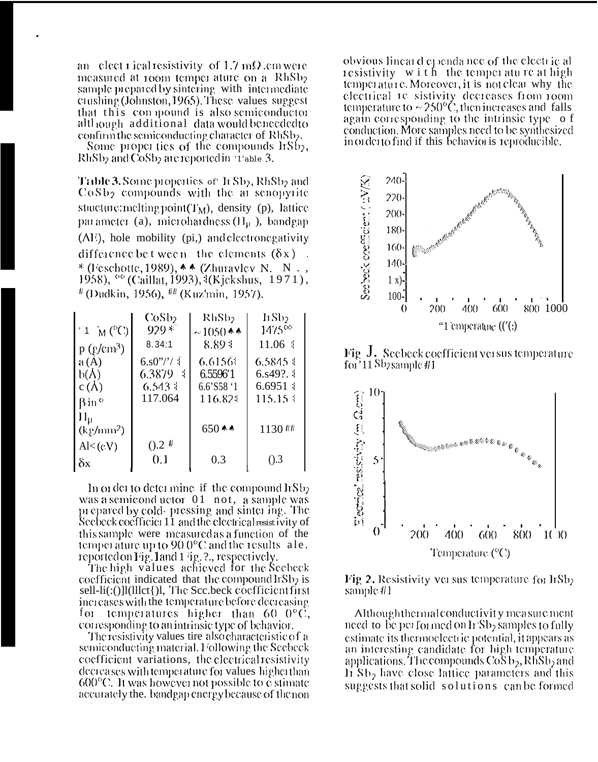an elect rical resistivity of 1.7 m $\Omega$  cm were measured at room temper ature on a RhSb<sub>2</sub> sample prepared by sintering with intermediate crushing (Johnston, 1965). These values suggest that this compound is also semiconductor although additional data would beneeded to confirm the semiconducting character of RhSb<sub>2</sub>.

Some properties of the compounds lrSb<sub>2</sub>, RhSb<sub>2</sub> and CoSb<sub>2</sub> are reported in '1'able 3.

Table 3. Some properties of h Sb2, RhSb2 and  $\cos b_2$  compounds with the an senopyrite stuicture: melting point  $(T_M)$ , density (p), lattice parameter (a), microhardness  $(H<sub>\mu</sub>$ ), bandgap (AE), hole mobility (pi,) and electronegativity difference be tween the elements  $(\delta x)$ . \* (Feschotte, 1989),  $\triangle \triangle$  (Zhuravlev N. N., 1958), <sup>66</sup> (Caillat, 1993), <sup>1</sup>(Kjekshus, 1971),  $^{\#}$  (Dudkin, 1956),  $^{\#}$  (Kuz'min, 1957).

|                          | CoSb2            | RhSb <sub>2</sub>      | hSb2                     |
|--------------------------|------------------|------------------------|--------------------------|
| $'1$ M ( $^{\circ}$ C)   | $929 *$          | $\sim$ 1050 * *        | $1475^{\circ}$           |
| $p$ (g/cm <sup>3</sup> ) | 8.34:1           | 8.89 <sub>1</sub>      | 11.06:                   |
| a(A)                     | $6.80''$ /'/ T   | 6.61561                | 6.5845.1                 |
| b(A)                     | 6.3879 4         | 6.5596'1               | $6.849$ ?. $\frac{1}{2}$ |
| c( $\Lambda$ )           | $6.543 \pm$      | $6.6$ 'S58 $^{\circ}1$ | 6.6951:                  |
| <b>Bin</b> <sup>o</sup>  | 117.064          | 116.824                | $115.15 \pm$             |
| $\Pi_{\rm R}$            |                  |                        |                          |
| $(kg/mm^2)$              |                  | $650$ **               | 1130 ##                  |
| Al < (cV)                | $0.2$ #          |                        |                          |
| δx                       | $\overline{0.1}$ | 0.3                    | $($ .3                   |

In order to determine if the compound  $\text{lrSb}_2$ was a semicond uctor 01 not, a sample was prepared by cold-pressing and sinter ing. The Seebeck coefficies 11 and the electrical resist ivity of this sample, were measured as a function of the temperature up to  $900^{\circ}$ C and the results ale. reported on Fig. 1 and 1 ig. ?., respectively.

The high values achieved for the Seebeck coefficient indicated that the compound  $l_{1}S_{2}$  is sell-li(:()]l(lllct{)l, The Scc.beck coefficient first increases with the temperature before decreasing for temperatures higher than  $60\,0^{\circ}\text{C}$ , corresponding to an intrinsic type of behavior.

The resistivity values tire also characteristic of a semiconducting material. I ollowing the Seebeck coefficient variations, the electrical resistivity decreases with temperature for values higher than  $600^{\circ}$ C. It was however not possible to e-stimate accurately the, bandgap energy because of the non-

obvious lineard ependance of the electric al resistivity with the temperature at high temperature. Moreover, it is not clear why the electrical re sistivity decreases from room<br>temperature to  $\sim$  250°C, then increases and falls again corresponding to the intrinsic type of conduction. More samples need to be synthesized in order to find if this behavior is reproducible.



Fig. J. Seebeck coefficient yeasus temperature  $\text{foi}$ <sup>3</sup>11 Sb<sub>2</sub> sample #1



Fig. 2. Resistivity ver sus temperature for IrSb<sub>2</sub> sample #1

Although thermal conductivity measurement need to be performed on  $h$  Sb<sub>2</sub> samples to fully estimate its thermoelectric potential, it appears as an interesting candidate for high temperature applications. The compounds  $\cos b_2$ , RhSb<sub>2</sub> and It Sb<sub>2</sub> have close lattice parameters and this suggests that solid solutions can be formed